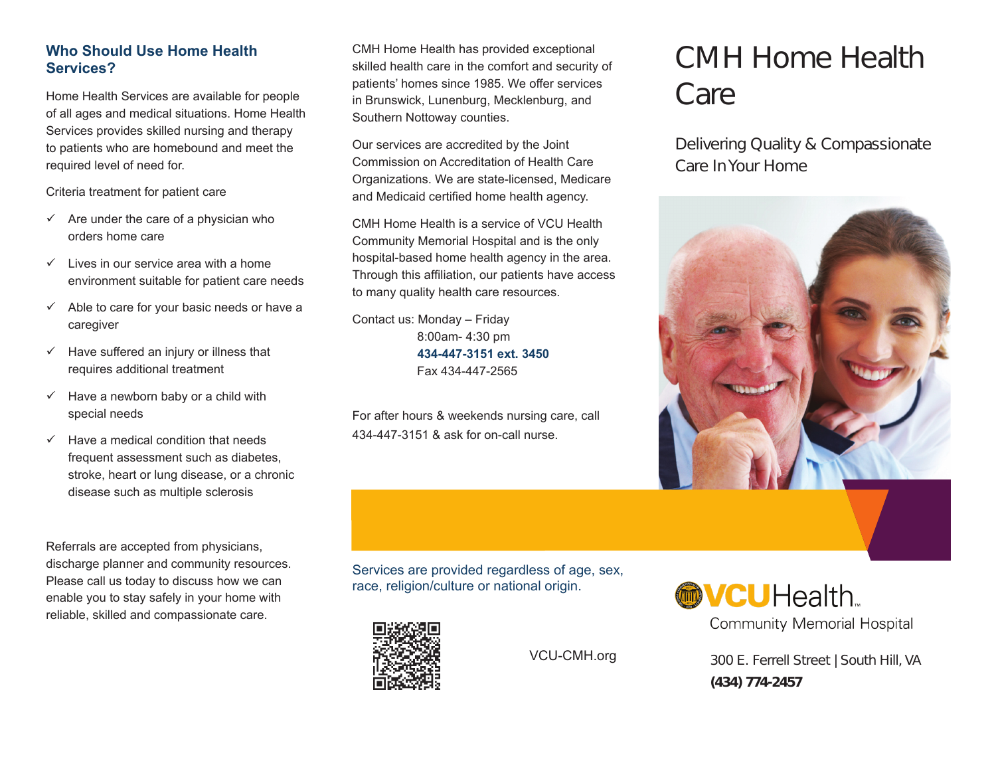# **Who Should Use Home Health Services?**

Home Health Services are available for people of all ages and medical situations. Home Health Services provides skilled nursing and therapy to patients who are homebound and meet the required level of need for.

Criteria treatment for patient care

- $\checkmark$  Are under the care of a physician who orders home care
- $\checkmark$  Lives in our service area with a home environment suitable for patient care needs
- $\checkmark$  Able to care for your basic needs or have a caregiver
- $\checkmark$  Have suffered an injury or illness that requires additional treatment
- $\checkmark$  Have a newborn baby or a child with special needs
- $\checkmark$  Have a medical condition that needs frequent assessment such as diabetes, stroke, heart or lung disease, or a chronic disease such as multiple sclerosis

Referrals are accepted from physicians, discharge planner and community resources. Please call us today to discuss how we can enable you to stay safely in your home with reliable, skilled and compassionate care.

CMH Home Health has provided exceptional skilled health care in the comfort and security of patients' homes since 1985. We offer services in Brunswick, Lunenburg, Mecklenburg, and Southern Nottoway counties.

Our services are accredited by the Joint Commission on Accreditation of Health Care Organizations. We are state-licensed, Medicare and Medicaid certified home health agency.

CMH Home Health is a service of VCU Health Community Memorial Hospital and is the only hospital-based home health agency in the area. Through this affiliation, our patients have access to many quality health care resources.

Contact us: Monday – Friday 8:00am- 4:30 pm **434-447-3151 ext. 3450** Fax 434-447-2565

For after hours & weekends nursing care, call 434-447-3151 & ask for on-call nurse.

# CMH Home Health Care

Delivering Quality & Compassionate Care In Your Home



Services are provided regardless of age, sex, race, religion/culture or national origin.



VCU-CMH.org

**@VCU**Health.

**Community Memorial Hospital** 

300 E. Ferrell Street | South Hill, VA **(434) 774-2457**